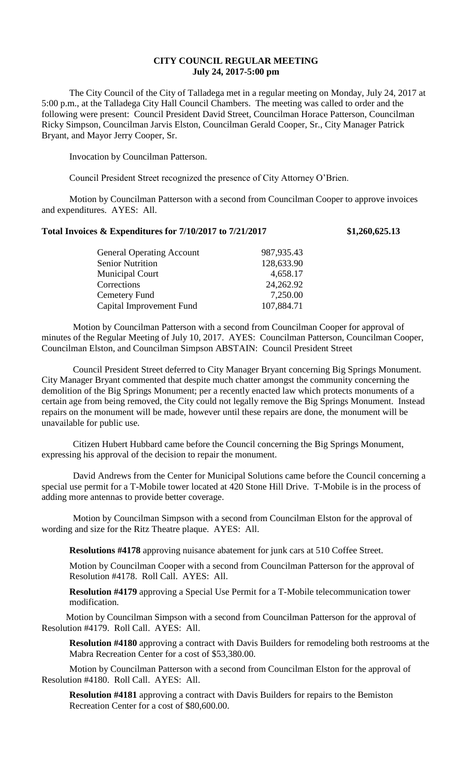## **CITY COUNCIL REGULAR MEETING July 24, 2017-5:00 pm**

The City Council of the City of Talladega met in a regular meeting on Monday, July 24, 2017 at 5:00 p.m., at the Talladega City Hall Council Chambers. The meeting was called to order and the following were present: Council President David Street, Councilman Horace Patterson, Councilman Ricky Simpson, Councilman Jarvis Elston, Councilman Gerald Cooper, Sr., City Manager Patrick Bryant, and Mayor Jerry Cooper, Sr.

Invocation by Councilman Patterson.

Council President Street recognized the presence of City Attorney O'Brien.

Motion by Councilman Patterson with a second from Councilman Cooper to approve invoices and expenditures. AYES: All.

## **Total Invoices & Expenditures for 7/10/2017 to 7/21/2017 \$1,260,625.13**

| <b>General Operating Account</b> | 987,935.43 |
|----------------------------------|------------|
| <b>Senior Nutrition</b>          | 128,633.90 |
| <b>Municipal Court</b>           | 4,658.17   |
| Corrections                      | 24,262.92  |
| Cemetery Fund                    | 7,250.00   |
| Capital Improvement Fund         | 107,884.71 |
|                                  |            |

Motion by Councilman Patterson with a second from Councilman Cooper for approval of minutes of the Regular Meeting of July 10, 2017. AYES: Councilman Patterson, Councilman Cooper, Councilman Elston, and Councilman Simpson ABSTAIN: Council President Street

Council President Street deferred to City Manager Bryant concerning Big Springs Monument. City Manager Bryant commented that despite much chatter amongst the community concerning the demolition of the Big Springs Monument; per a recently enacted law which protects monuments of a certain age from being removed, the City could not legally remove the Big Springs Monument. Instead repairs on the monument will be made, however until these repairs are done, the monument will be unavailable for public use.

Citizen Hubert Hubbard came before the Council concerning the Big Springs Monument, expressing his approval of the decision to repair the monument.

David Andrews from the Center for Municipal Solutions came before the Council concerning a special use permit for a T-Mobile tower located at 420 Stone Hill Drive. T-Mobile is in the process of adding more antennas to provide better coverage.

Motion by Councilman Simpson with a second from Councilman Elston for the approval of wording and size for the Ritz Theatre plaque. AYES: All.

**Resolutions #4178** approving nuisance abatement for junk cars at 510 Coffee Street.

Motion by Councilman Cooper with a second from Councilman Patterson for the approval of Resolution #4178. Roll Call. AYES: All.

**Resolution #4179** approving a Special Use Permit for a T-Mobile telecommunication tower modification.

Motion by Councilman Simpson with a second from Councilman Patterson for the approval of Resolution #4179. Roll Call. AYES: All.

**Resolution #4180** approving a contract with Davis Builders for remodeling both restrooms at the Mabra Recreation Center for a cost of \$53,380.00.

Motion by Councilman Patterson with a second from Councilman Elston for the approval of Resolution #4180. Roll Call. AYES: All.

**Resolution #4181** approving a contract with Davis Builders for repairs to the Bemiston Recreation Center for a cost of \$80,600.00.